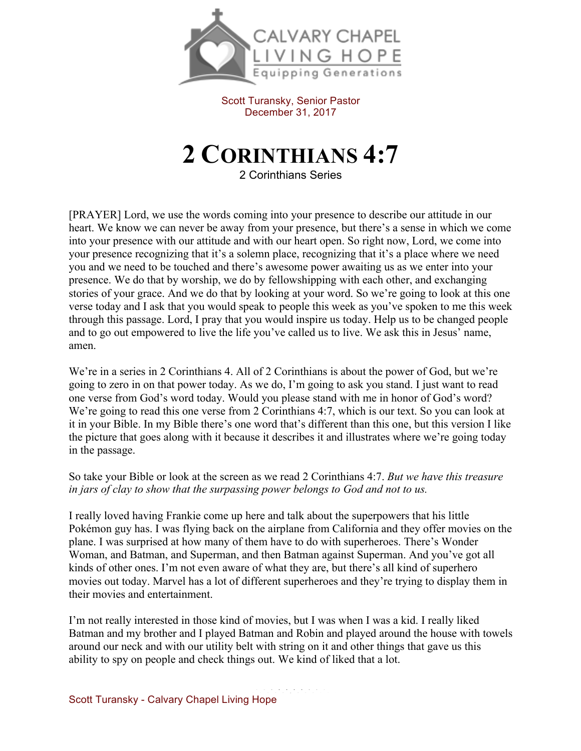

Scott Turansky, Senior Pastor December 31, 2017

## **2 CORINTHIANS 4:7**

2 Corinthians Series

[PRAYER] Lord, we use the words coming into your presence to describe our attitude in our heart. We know we can never be away from your presence, but there's a sense in which we come into your presence with our attitude and with our heart open. So right now, Lord, we come into your presence recognizing that it's a solemn place, recognizing that it's a place where we need you and we need to be touched and there's awesome power awaiting us as we enter into your presence. We do that by worship, we do by fellowshipping with each other, and exchanging stories of your grace. And we do that by looking at your word. So we're going to look at this one verse today and I ask that you would speak to people this week as you've spoken to me this week through this passage. Lord, I pray that you would inspire us today. Help us to be changed people and to go out empowered to live the life you've called us to live. We ask this in Jesus' name, amen.

We're in a series in 2 Corinthians 4. All of 2 Corinthians is about the power of God, but we're going to zero in on that power today. As we do, I'm going to ask you stand. I just want to read one verse from God's word today. Would you please stand with me in honor of God's word? We're going to read this one verse from 2 Corinthians 4:7, which is our text. So you can look at it in your Bible. In my Bible there's one word that's different than this one, but this version I like the picture that goes along with it because it describes it and illustrates where we're going today in the passage.

So take your Bible or look at the screen as we read 2 Corinthians 4:7. *But we have this treasure in jars of clay to show that the surpassing power belongs to God and not to us.*

I really loved having Frankie come up here and talk about the superpowers that his little Pokémon guy has. I was flying back on the airplane from California and they offer movies on the plane. I was surprised at how many of them have to do with superheroes. There's Wonder Woman, and Batman, and Superman, and then Batman against Superman. And you've got all kinds of other ones. I'm not even aware of what they are, but there's all kind of superhero movies out today. Marvel has a lot of different superheroes and they're trying to display them in their movies and entertainment.

I'm not really interested in those kind of movies, but I was when I was a kid. I really liked Batman and my brother and I played Batman and Robin and played around the house with towels around our neck and with our utility belt with string on it and other things that gave us this ability to spy on people and check things out. We kind of liked that a lot.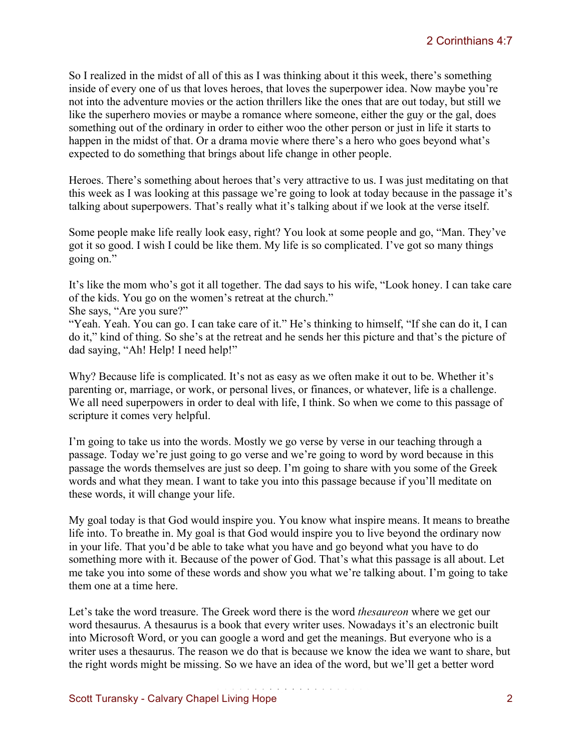So I realized in the midst of all of this as I was thinking about it this week, there's something inside of every one of us that loves heroes, that loves the superpower idea. Now maybe you're not into the adventure movies or the action thrillers like the ones that are out today, but still we like the superhero movies or maybe a romance where someone, either the guy or the gal, does something out of the ordinary in order to either woo the other person or just in life it starts to happen in the midst of that. Or a drama movie where there's a hero who goes beyond what's expected to do something that brings about life change in other people.

Heroes. There's something about heroes that's very attractive to us. I was just meditating on that this week as I was looking at this passage we're going to look at today because in the passage it's talking about superpowers. That's really what it's talking about if we look at the verse itself.

Some people make life really look easy, right? You look at some people and go, "Man. They've got it so good. I wish I could be like them. My life is so complicated. I've got so many things going on."

It's like the mom who's got it all together. The dad says to his wife, "Look honey. I can take care of the kids. You go on the women's retreat at the church."

She says, "Are you sure?"

"Yeah. Yeah. You can go. I can take care of it." He's thinking to himself, "If she can do it, I can do it," kind of thing. So she's at the retreat and he sends her this picture and that's the picture of dad saying, "Ah! Help! I need help!"

Why? Because life is complicated. It's not as easy as we often make it out to be. Whether it's parenting or, marriage, or work, or personal lives, or finances, or whatever, life is a challenge. We all need superpowers in order to deal with life, I think. So when we come to this passage of scripture it comes very helpful.

I'm going to take us into the words. Mostly we go verse by verse in our teaching through a passage. Today we're just going to go verse and we're going to word by word because in this passage the words themselves are just so deep. I'm going to share with you some of the Greek words and what they mean. I want to take you into this passage because if you'll meditate on these words, it will change your life.

My goal today is that God would inspire you. You know what inspire means. It means to breathe life into. To breathe in. My goal is that God would inspire you to live beyond the ordinary now in your life. That you'd be able to take what you have and go beyond what you have to do something more with it. Because of the power of God. That's what this passage is all about. Let me take you into some of these words and show you what we're talking about. I'm going to take them one at a time here.

Let's take the word treasure. The Greek word there is the word *thesaureon* where we get our word thesaurus. A thesaurus is a book that every writer uses. Nowadays it's an electronic built into Microsoft Word, or you can google a word and get the meanings. But everyone who is a writer uses a thesaurus. The reason we do that is because we know the idea we want to share, but the right words might be missing. So we have an idea of the word, but we'll get a better word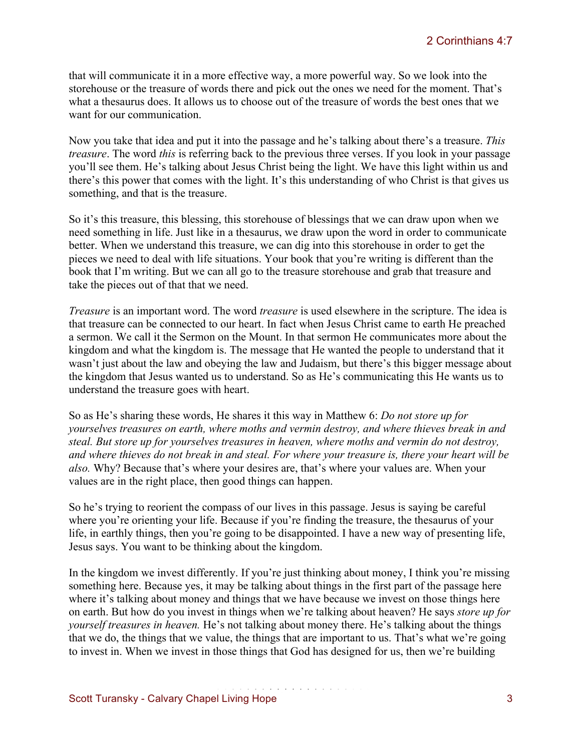that will communicate it in a more effective way, a more powerful way. So we look into the storehouse or the treasure of words there and pick out the ones we need for the moment. That's what a thesaurus does. It allows us to choose out of the treasure of words the best ones that we want for our communication.

Now you take that idea and put it into the passage and he's talking about there's a treasure. *This treasure*. The word *this* is referring back to the previous three verses. If you look in your passage you'll see them. He's talking about Jesus Christ being the light. We have this light within us and there's this power that comes with the light. It's this understanding of who Christ is that gives us something, and that is the treasure.

So it's this treasure, this blessing, this storehouse of blessings that we can draw upon when we need something in life. Just like in a thesaurus, we draw upon the word in order to communicate better. When we understand this treasure, we can dig into this storehouse in order to get the pieces we need to deal with life situations. Your book that you're writing is different than the book that I'm writing. But we can all go to the treasure storehouse and grab that treasure and take the pieces out of that that we need.

*Treasure* is an important word. The word *treasure* is used elsewhere in the scripture. The idea is that treasure can be connected to our heart. In fact when Jesus Christ came to earth He preached a sermon. We call it the Sermon on the Mount. In that sermon He communicates more about the kingdom and what the kingdom is. The message that He wanted the people to understand that it wasn't just about the law and obeying the law and Judaism, but there's this bigger message about the kingdom that Jesus wanted us to understand. So as He's communicating this He wants us to understand the treasure goes with heart.

So as He's sharing these words, He shares it this way in Matthew 6: *Do not store up for yourselves treasures on earth, where moths and vermin destroy, and where thieves break in and steal. But store up for yourselves treasures in heaven, where moths and vermin do not destroy, and where thieves do not break in and steal. For where your treasure is, there your heart will be also.* Why? Because that's where your desires are, that's where your values are. When your values are in the right place, then good things can happen.

So he's trying to reorient the compass of our lives in this passage. Jesus is saying be careful where you're orienting your life. Because if you're finding the treasure, the thesaurus of your life, in earthly things, then you're going to be disappointed. I have a new way of presenting life, Jesus says. You want to be thinking about the kingdom.

In the kingdom we invest differently. If you're just thinking about money, I think you're missing something here. Because yes, it may be talking about things in the first part of the passage here where it's talking about money and things that we have because we invest on those things here on earth. But how do you invest in things when we're talking about heaven? He says *store up for yourself treasures in heaven.* He's not talking about money there. He's talking about the things that we do, the things that we value, the things that are important to us. That's what we're going to invest in. When we invest in those things that God has designed for us, then we're building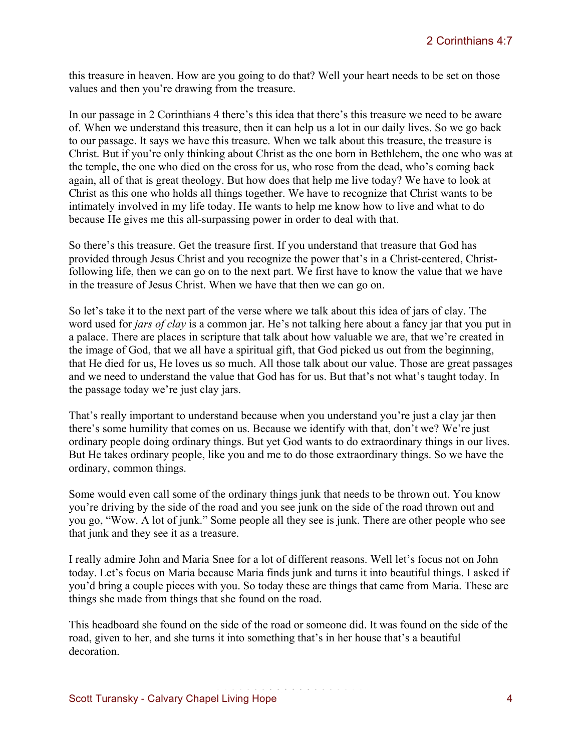this treasure in heaven. How are you going to do that? Well your heart needs to be set on those values and then you're drawing from the treasure.

In our passage in 2 Corinthians 4 there's this idea that there's this treasure we need to be aware of. When we understand this treasure, then it can help us a lot in our daily lives. So we go back to our passage. It says we have this treasure. When we talk about this treasure, the treasure is Christ. But if you're only thinking about Christ as the one born in Bethlehem, the one who was at the temple, the one who died on the cross for us, who rose from the dead, who's coming back again, all of that is great theology. But how does that help me live today? We have to look at Christ as this one who holds all things together. We have to recognize that Christ wants to be intimately involved in my life today. He wants to help me know how to live and what to do because He gives me this all-surpassing power in order to deal with that.

So there's this treasure. Get the treasure first. If you understand that treasure that God has provided through Jesus Christ and you recognize the power that's in a Christ-centered, Christfollowing life, then we can go on to the next part. We first have to know the value that we have in the treasure of Jesus Christ. When we have that then we can go on.

So let's take it to the next part of the verse where we talk about this idea of jars of clay. The word used for *jars of clay* is a common jar. He's not talking here about a fancy jar that you put in a palace. There are places in scripture that talk about how valuable we are, that we're created in the image of God, that we all have a spiritual gift, that God picked us out from the beginning, that He died for us, He loves us so much. All those talk about our value. Those are great passages and we need to understand the value that God has for us. But that's not what's taught today. In the passage today we're just clay jars.

That's really important to understand because when you understand you're just a clay jar then there's some humility that comes on us. Because we identify with that, don't we? We're just ordinary people doing ordinary things. But yet God wants to do extraordinary things in our lives. But He takes ordinary people, like you and me to do those extraordinary things. So we have the ordinary, common things.

Some would even call some of the ordinary things junk that needs to be thrown out. You know you're driving by the side of the road and you see junk on the side of the road thrown out and you go, "Wow. A lot of junk." Some people all they see is junk. There are other people who see that junk and they see it as a treasure.

I really admire John and Maria Snee for a lot of different reasons. Well let's focus not on John today. Let's focus on Maria because Maria finds junk and turns it into beautiful things. I asked if you'd bring a couple pieces with you. So today these are things that came from Maria. These are things she made from things that she found on the road.

This headboard she found on the side of the road or someone did. It was found on the side of the road, given to her, and she turns it into something that's in her house that's a beautiful decoration.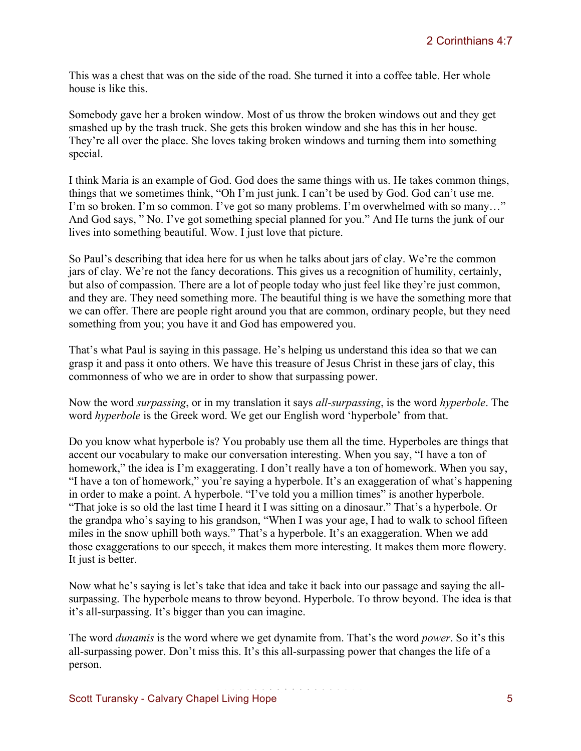This was a chest that was on the side of the road. She turned it into a coffee table. Her whole house is like this.

Somebody gave her a broken window. Most of us throw the broken windows out and they get smashed up by the trash truck. She gets this broken window and she has this in her house. They're all over the place. She loves taking broken windows and turning them into something special.

I think Maria is an example of God. God does the same things with us. He takes common things, things that we sometimes think, "Oh I'm just junk. I can't be used by God. God can't use me. I'm so broken. I'm so common. I've got so many problems. I'm overwhelmed with so many…" And God says, " No. I've got something special planned for you." And He turns the junk of our lives into something beautiful. Wow. I just love that picture.

So Paul's describing that idea here for us when he talks about jars of clay. We're the common jars of clay. We're not the fancy decorations. This gives us a recognition of humility, certainly, but also of compassion. There are a lot of people today who just feel like they're just common, and they are. They need something more. The beautiful thing is we have the something more that we can offer. There are people right around you that are common, ordinary people, but they need something from you; you have it and God has empowered you.

That's what Paul is saying in this passage. He's helping us understand this idea so that we can grasp it and pass it onto others. We have this treasure of Jesus Christ in these jars of clay, this commonness of who we are in order to show that surpassing power.

Now the word *surpassing*, or in my translation it says *all-surpassing*, is the word *hyperbole*. The word *hyperbole* is the Greek word. We get our English word 'hyperbole' from that.

Do you know what hyperbole is? You probably use them all the time. Hyperboles are things that accent our vocabulary to make our conversation interesting. When you say, "I have a ton of homework," the idea is I'm exaggerating. I don't really have a ton of homework. When you say, "I have a ton of homework," you're saying a hyperbole. It's an exaggeration of what's happening in order to make a point. A hyperbole. "I've told you a million times" is another hyperbole. "That joke is so old the last time I heard it I was sitting on a dinosaur." That's a hyperbole. Or the grandpa who's saying to his grandson, "When I was your age, I had to walk to school fifteen miles in the snow uphill both ways." That's a hyperbole. It's an exaggeration. When we add those exaggerations to our speech, it makes them more interesting. It makes them more flowery. It just is better.

Now what he's saying is let's take that idea and take it back into our passage and saying the allsurpassing. The hyperbole means to throw beyond. Hyperbole. To throw beyond. The idea is that it's all-surpassing. It's bigger than you can imagine.

The word *dunamis* is the word where we get dynamite from. That's the word *power*. So it's this all-surpassing power. Don't miss this. It's this all-surpassing power that changes the life of a person.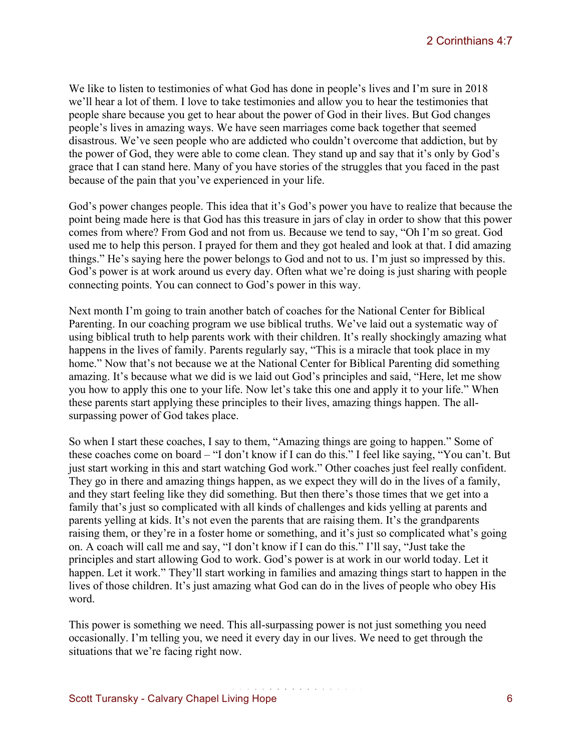We like to listen to testimonies of what God has done in people's lives and I'm sure in 2018 we'll hear a lot of them. I love to take testimonies and allow you to hear the testimonies that people share because you get to hear about the power of God in their lives. But God changes people's lives in amazing ways. We have seen marriages come back together that seemed disastrous. We've seen people who are addicted who couldn't overcome that addiction, but by the power of God, they were able to come clean. They stand up and say that it's only by God's grace that I can stand here. Many of you have stories of the struggles that you faced in the past because of the pain that you've experienced in your life.

God's power changes people. This idea that it's God's power you have to realize that because the point being made here is that God has this treasure in jars of clay in order to show that this power comes from where? From God and not from us. Because we tend to say, "Oh I'm so great. God used me to help this person. I prayed for them and they got healed and look at that. I did amazing things." He's saying here the power belongs to God and not to us. I'm just so impressed by this. God's power is at work around us every day. Often what we're doing is just sharing with people connecting points. You can connect to God's power in this way.

Next month I'm going to train another batch of coaches for the National Center for Biblical Parenting. In our coaching program we use biblical truths. We've laid out a systematic way of using biblical truth to help parents work with their children. It's really shockingly amazing what happens in the lives of family. Parents regularly say, "This is a miracle that took place in my home." Now that's not because we at the National Center for Biblical Parenting did something amazing. It's because what we did is we laid out God's principles and said, "Here, let me show you how to apply this one to your life. Now let's take this one and apply it to your life." When these parents start applying these principles to their lives, amazing things happen. The allsurpassing power of God takes place.

So when I start these coaches, I say to them, "Amazing things are going to happen." Some of these coaches come on board – "I don't know if I can do this." I feel like saying, "You can't. But just start working in this and start watching God work." Other coaches just feel really confident. They go in there and amazing things happen, as we expect they will do in the lives of a family, and they start feeling like they did something. But then there's those times that we get into a family that's just so complicated with all kinds of challenges and kids yelling at parents and parents yelling at kids. It's not even the parents that are raising them. It's the grandparents raising them, or they're in a foster home or something, and it's just so complicated what's going on. A coach will call me and say, "I don't know if I can do this." I'll say, "Just take the principles and start allowing God to work. God's power is at work in our world today. Let it happen. Let it work." They'll start working in families and amazing things start to happen in the lives of those children. It's just amazing what God can do in the lives of people who obey His word.

This power is something we need. This all-surpassing power is not just something you need occasionally. I'm telling you, we need it every day in our lives. We need to get through the situations that we're facing right now.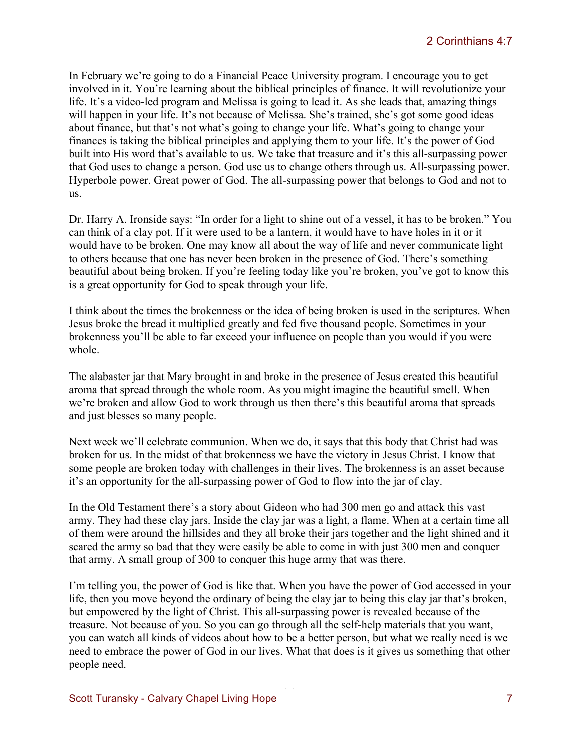In February we're going to do a Financial Peace University program. I encourage you to get involved in it. You're learning about the biblical principles of finance. It will revolutionize your life. It's a video-led program and Melissa is going to lead it. As she leads that, amazing things will happen in your life. It's not because of Melissa. She's trained, she's got some good ideas about finance, but that's not what's going to change your life. What's going to change your finances is taking the biblical principles and applying them to your life. It's the power of God built into His word that's available to us. We take that treasure and it's this all-surpassing power that God uses to change a person. God use us to change others through us. All-surpassing power. Hyperbole power. Great power of God. The all-surpassing power that belongs to God and not to us.

Dr. Harry A. Ironside says: "In order for a light to shine out of a vessel, it has to be broken." You can think of a clay pot. If it were used to be a lantern, it would have to have holes in it or it would have to be broken. One may know all about the way of life and never communicate light to others because that one has never been broken in the presence of God. There's something beautiful about being broken. If you're feeling today like you're broken, you've got to know this is a great opportunity for God to speak through your life.

I think about the times the brokenness or the idea of being broken is used in the scriptures. When Jesus broke the bread it multiplied greatly and fed five thousand people. Sometimes in your brokenness you'll be able to far exceed your influence on people than you would if you were whole.

The alabaster jar that Mary brought in and broke in the presence of Jesus created this beautiful aroma that spread through the whole room. As you might imagine the beautiful smell. When we're broken and allow God to work through us then there's this beautiful aroma that spreads and just blesses so many people.

Next week we'll celebrate communion. When we do, it says that this body that Christ had was broken for us. In the midst of that brokenness we have the victory in Jesus Christ. I know that some people are broken today with challenges in their lives. The brokenness is an asset because it's an opportunity for the all-surpassing power of God to flow into the jar of clay.

In the Old Testament there's a story about Gideon who had 300 men go and attack this vast army. They had these clay jars. Inside the clay jar was a light, a flame. When at a certain time all of them were around the hillsides and they all broke their jars together and the light shined and it scared the army so bad that they were easily be able to come in with just 300 men and conquer that army. A small group of 300 to conquer this huge army that was there.

I'm telling you, the power of God is like that. When you have the power of God accessed in your life, then you move beyond the ordinary of being the clay jar to being this clay jar that's broken, but empowered by the light of Christ. This all-surpassing power is revealed because of the treasure. Not because of you. So you can go through all the self-help materials that you want, you can watch all kinds of videos about how to be a better person, but what we really need is we need to embrace the power of God in our lives. What that does is it gives us something that other people need.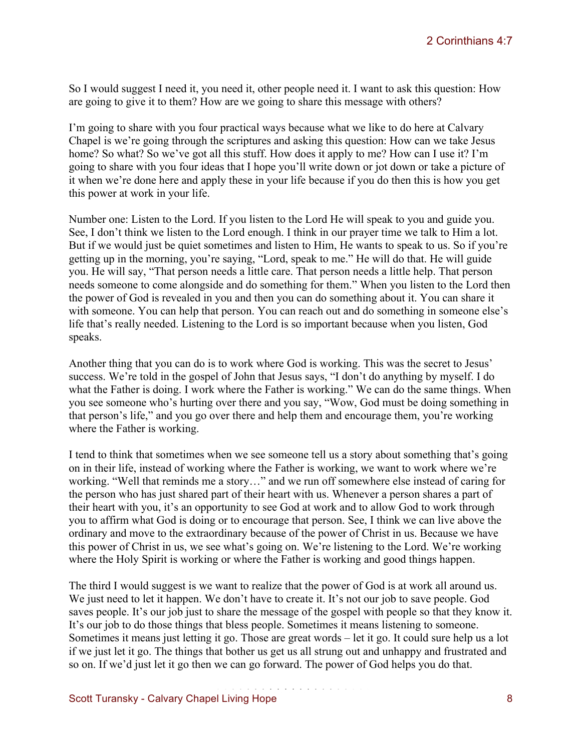So I would suggest I need it, you need it, other people need it. I want to ask this question: How are going to give it to them? How are we going to share this message with others?

I'm going to share with you four practical ways because what we like to do here at Calvary Chapel is we're going through the scriptures and asking this question: How can we take Jesus home? So what? So we've got all this stuff. How does it apply to me? How can I use it? I'm going to share with you four ideas that I hope you'll write down or jot down or take a picture of it when we're done here and apply these in your life because if you do then this is how you get this power at work in your life.

Number one: Listen to the Lord. If you listen to the Lord He will speak to you and guide you. See, I don't think we listen to the Lord enough. I think in our prayer time we talk to Him a lot. But if we would just be quiet sometimes and listen to Him, He wants to speak to us. So if you're getting up in the morning, you're saying, "Lord, speak to me." He will do that. He will guide you. He will say, "That person needs a little care. That person needs a little help. That person needs someone to come alongside and do something for them." When you listen to the Lord then the power of God is revealed in you and then you can do something about it. You can share it with someone. You can help that person. You can reach out and do something in someone else's life that's really needed. Listening to the Lord is so important because when you listen, God speaks.

Another thing that you can do is to work where God is working. This was the secret to Jesus' success. We're told in the gospel of John that Jesus says, "I don't do anything by myself. I do what the Father is doing. I work where the Father is working." We can do the same things. When you see someone who's hurting over there and you say, "Wow, God must be doing something in that person's life," and you go over there and help them and encourage them, you're working where the Father is working.

I tend to think that sometimes when we see someone tell us a story about something that's going on in their life, instead of working where the Father is working, we want to work where we're working. "Well that reminds me a story…" and we run off somewhere else instead of caring for the person who has just shared part of their heart with us. Whenever a person shares a part of their heart with you, it's an opportunity to see God at work and to allow God to work through you to affirm what God is doing or to encourage that person. See, I think we can live above the ordinary and move to the extraordinary because of the power of Christ in us. Because we have this power of Christ in us, we see what's going on. We're listening to the Lord. We're working where the Holy Spirit is working or where the Father is working and good things happen.

The third I would suggest is we want to realize that the power of God is at work all around us. We just need to let it happen. We don't have to create it. It's not our job to save people. God saves people. It's our job just to share the message of the gospel with people so that they know it. It's our job to do those things that bless people. Sometimes it means listening to someone. Sometimes it means just letting it go. Those are great words – let it go. It could sure help us a lot if we just let it go. The things that bother us get us all strung out and unhappy and frustrated and so on. If we'd just let it go then we can go forward. The power of God helps you do that.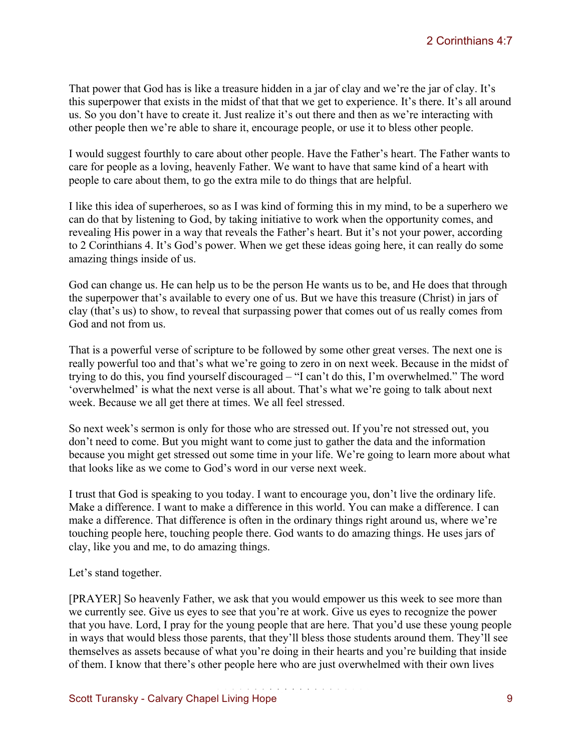That power that God has is like a treasure hidden in a jar of clay and we're the jar of clay. It's this superpower that exists in the midst of that that we get to experience. It's there. It's all around us. So you don't have to create it. Just realize it's out there and then as we're interacting with other people then we're able to share it, encourage people, or use it to bless other people.

I would suggest fourthly to care about other people. Have the Father's heart. The Father wants to care for people as a loving, heavenly Father. We want to have that same kind of a heart with people to care about them, to go the extra mile to do things that are helpful.

I like this idea of superheroes, so as I was kind of forming this in my mind, to be a superhero we can do that by listening to God, by taking initiative to work when the opportunity comes, and revealing His power in a way that reveals the Father's heart. But it's not your power, according to 2 Corinthians 4. It's God's power. When we get these ideas going here, it can really do some amazing things inside of us.

God can change us. He can help us to be the person He wants us to be, and He does that through the superpower that's available to every one of us. But we have this treasure (Christ) in jars of clay (that's us) to show, to reveal that surpassing power that comes out of us really comes from God and not from us.

That is a powerful verse of scripture to be followed by some other great verses. The next one is really powerful too and that's what we're going to zero in on next week. Because in the midst of trying to do this, you find yourself discouraged – "I can't do this, I'm overwhelmed." The word 'overwhelmed' is what the next verse is all about. That's what we're going to talk about next week. Because we all get there at times. We all feel stressed.

So next week's sermon is only for those who are stressed out. If you're not stressed out, you don't need to come. But you might want to come just to gather the data and the information because you might get stressed out some time in your life. We're going to learn more about what that looks like as we come to God's word in our verse next week.

I trust that God is speaking to you today. I want to encourage you, don't live the ordinary life. Make a difference. I want to make a difference in this world. You can make a difference. I can make a difference. That difference is often in the ordinary things right around us, where we're touching people here, touching people there. God wants to do amazing things. He uses jars of clay, like you and me, to do amazing things.

Let's stand together.

[PRAYER] So heavenly Father, we ask that you would empower us this week to see more than we currently see. Give us eyes to see that you're at work. Give us eyes to recognize the power that you have. Lord, I pray for the young people that are here. That you'd use these young people in ways that would bless those parents, that they'll bless those students around them. They'll see themselves as assets because of what you're doing in their hearts and you're building that inside of them. I know that there's other people here who are just overwhelmed with their own lives